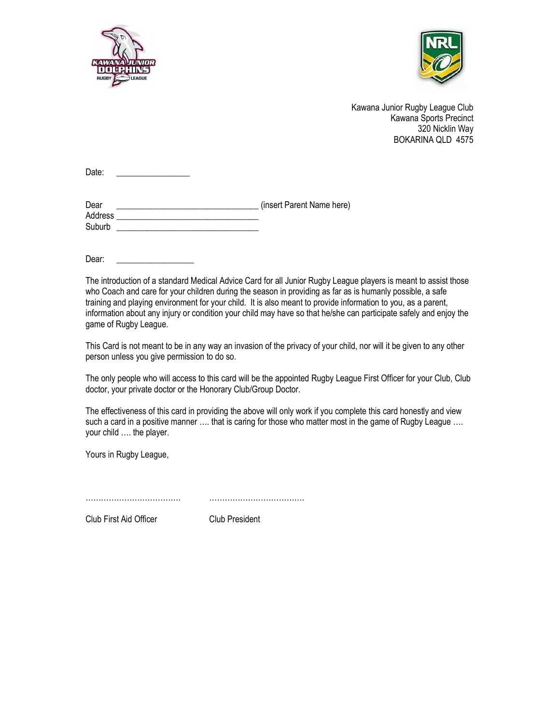



Kawana Junior Rugby League Club Kawana Sports Precinct 320 Nicklin Way BOKARINA QLD 4575

Date:

| Dear    | (insert Parent Name here) |
|---------|---------------------------|
| Address |                           |
| Suburb  |                           |

Dear:

The introduction of a standard Medical Advice Card for all Junior Rugby League players is meant to assist those who Coach and care for your children during the season in providing as far as is humanly possible, a safe training and playing environment for your child. It is also meant to provide information to you, as a parent, information about any injury or condition your child may have so that he/she can participate safely and enjoy the game of Rugby League.

This Card is not meant to be in any way an invasion of the privacy of your child, nor will it be given to any other person unless you give permission to do so.

The only people who will access to this card will be the appointed Rugby League First Officer for your Club, Club doctor, your private doctor or the Honorary Club/Group Doctor.

The effectiveness of this card in providing the above will only work if you complete this card honestly and view such a card in a positive manner .... that is caring for those who matter most in the game of Rugby League .... your child …. the player.

Yours in Rugby League,

………………………………. ……………………………….

Club First Aid Officer Club President